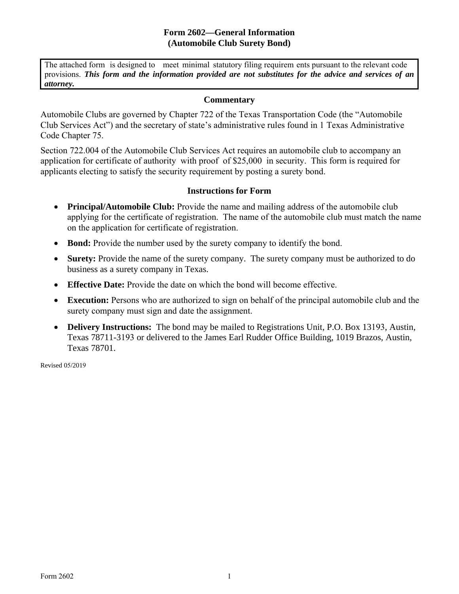## **Form 2602—General Information (Automobile Club Surety Bond)**

The attached form is designed to meet minimal statutory filing requirem ents pursuant to the relevant code provisions. *This form and the information provided are not substitutes for the advice and services of an attorney.* 

## **Commentary**

Automobile Clubs are governed by Chapter 722 of the Texas Transportation Code (the "Automobile Club Services Act") and the secretary of state's administrative rules found in 1 Texas Administrative Code Chapter 75.

Section 722.004 of the Automobile Club Services Act requires an automobile club to accompany an application for certificate of authority with proof of \$25,000 in security. This form is required for applicants electing to satisfy the security requirement by posting a surety bond.

## **Instructions for Form**

- **Principal/Automobile Club:** Provide the name and mailing address of the automobile club applying for the certificate of registration. The name of the automobile club must match the name on the application for certificate of registration.
- **Bond:** Provide the number used by the surety company to identify the bond.
- **Surety:** Provide the name of the surety company. The surety company must be authorized to do business as a surety company in Texas.
- **Effective Date:** Provide the date on which the bond will become effective.
- **Execution:** Persons who are authorized to sign on behalf of the principal automobile club and the surety company must sign and date the assignment.
- **Delivery Instructions:** The bond may be mailed to Registrations Unit, P.O. Box 13193, Austin, Texas 78711-3193 or delivered to the James Earl Rudder Office Building, 1019 Brazos, Austin, Texas 78701.

Revised 05/2019